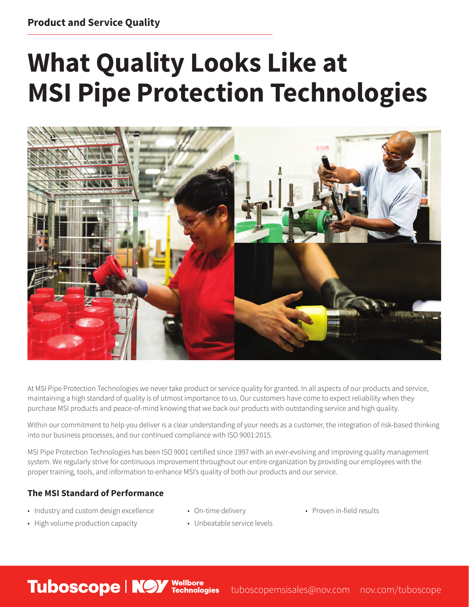## **What Quality Looks Like at MSI Pipe Protection Technologies**



At MSI Pipe Protection Technologies we never take product or service quality for granted. In all aspects of our products and service, maintaining a high standard of quality is of utmost importance to us. Our customers have come to expect reliability when they purchase MSI products and peace-of-mind knowing that we back our products with outstanding service and high quality.

Within our commitment to help you deliver is a clear understanding of your needs as a customer, the integration of risk-based thinking into our business processes, and our continued compliance with ISO 9001:2015.

MSI Pipe Protection Technologies has been ISO 9001 certified since 1997 with an ever-evolving and improving quality management system. We regularly strive for continuous improvement throughout our entire organization by providing our employees with the proper training, tools, and information to enhance MSI's quality of both our products and our service.

## **The MSI Standard of Performance**

**Tuboscope | NOY** Wellbore

- Industry and custom design excellence
- On-time delivery
- Proven in-field results

- High volume production capacity
- Unbeatable service levels